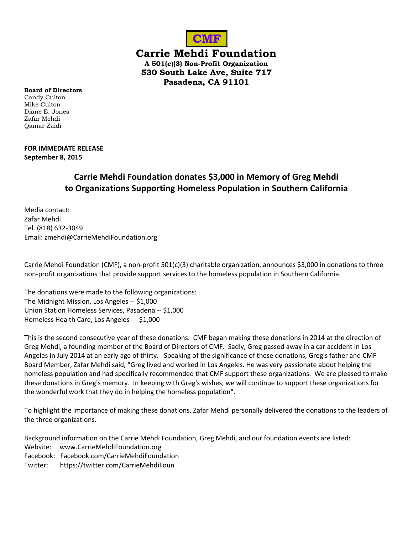

**Carrie Mehdi Foundation**

**A 501(c)(3) Non-Profit Organization 530 South Lake Ave, Suite 717 Pasadena, CA 91101**

**Board of Directors** Candy Culton Mike Culton Diane E. Jones Zafar Mehdi Qamar Zaidi

## **FOR IMMEDIATE RELEASE September 8, 2015**

# **Carrie Mehdi Foundation donates \$3,000 in Memory of Greg Mehdi to Organizations Supporting Homeless Population in Southern California**

Media contact: Zafar Mehdi Tel. (818) 632-3049 Email: zmehdi@CarrieMehdiFoundation.org

Carrie Mehdi Foundation (CMF), a non-profit 501(c)(3) charitable organization, announces \$3,000 in donations to three non-profit organizations that provide support services to the homeless population in Southern California.

The donations were made to the following organizations: The Midnight Mission, Los Angeles -- \$1,000 Union Station Homeless Services, Pasadena -- \$1,000 Homeless Health Care, Los Angeles - - \$1,000

This is the second consecutive year of these donations. CMF began making these donations in 2014 at the direction of Greg Mehdi, a founding member of the Board of Directors of CMF. Sadly, Greg passed away in a car accident in Los Angeles in July 2014 at an early age of thirty. Speaking of the significance of these donations, Greg's father and CMF Board Member, Zafar Mehdi said, "Greg lived and worked in Los Angeles. He was very passionate about helping the homeless population and had specifically recommended that CMF support these organizations. We are pleased to make these donations in Greg's memory. In keeping with Greg's wishes, we will continue to support these organizations for the wonderful work that they do in helping the homeless population".

To highlight the importance of making these donations, Zafar Mehdi personally delivered the donations to the leaders of the three organizations.

Background information on the Carrie Mehdi Foundation, Greg Mehdi, and our foundation events are listed: Website: [www.CarrieMehdiFoundation.org](http://www.carriemehdifoundation.org/) Facebook: Facebook.com/CarrieMehdiFoundation Twitter: https://twitter.com/CarrieMehdiFoun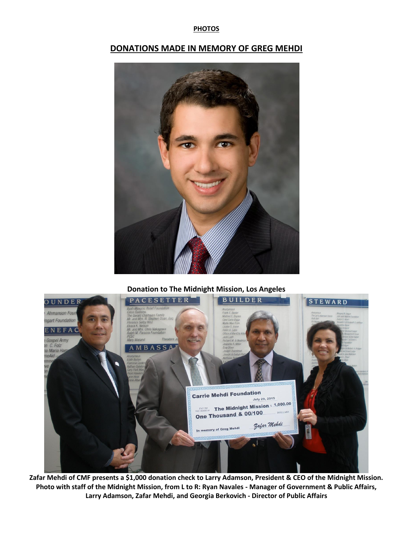### **PHOTOS**

# **DONATIONS MADE IN MEMORY OF GREG MEHDI**



### **Donation to The Midnight Mission, Los Angeles**



**Zafar Mehdi of CMF presents a \$1,000 donation check to Larry Adamson, President & CEO of the Midnight Mission. Photo with staff of the Midnight Mission, from L to R: Ryan Navales - Manager of Government & Public Affairs, Larry Adamson, Zafar Mehdi, and Georgia Berkovich - Director of Public Affairs**